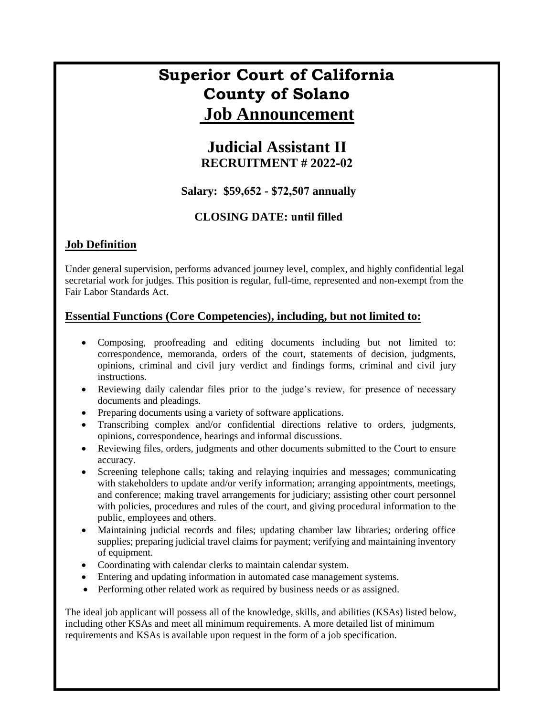# **Superior Court of California County of Solano Job Announcement**

### **Judicial Assistant II RECRUITMENT # 2022-02**

**Salary: \$59,652 - \$72,507 annually**

#### **CLOSING DATE: until filled**

### **Job Definition**

Under general supervision, performs advanced journey level, complex, and highly confidential legal secretarial work for judges. This position is regular, full-time, represented and non-exempt from the Fair Labor Standards Act.

#### **Essential Functions (Core Competencies), including, but not limited to:**

- Composing, proofreading and editing documents including but not limited to: correspondence, memoranda, orders of the court, statements of decision, judgments, opinions, criminal and civil jury verdict and findings forms, criminal and civil jury instructions.
- Reviewing daily calendar files prior to the judge's review, for presence of necessary documents and pleadings.
- Preparing documents using a variety of software applications.
- Transcribing complex and/or confidential directions relative to orders, judgments, opinions, correspondence, hearings and informal discussions.
- Reviewing files, orders, judgments and other documents submitted to the Court to ensure accuracy.
- Screening telephone calls; taking and relaying inquiries and messages; communicating with stakeholders to update and/or verify information; arranging appointments, meetings, and conference; making travel arrangements for judiciary; assisting other court personnel with policies, procedures and rules of the court, and giving procedural information to the public, employees and others.
- Maintaining judicial records and files; updating chamber law libraries; ordering office supplies; preparing judicial travel claims for payment; verifying and maintaining inventory of equipment.
- Coordinating with calendar clerks to maintain calendar system.
- Entering and updating information in automated case management systems.
- Performing other related work as required by business needs or as assigned.

The ideal job applicant will possess all of the knowledge, skills, and abilities (KSAs) listed below, including other KSAs and meet all minimum requirements. A more detailed list of minimum requirements and KSAs is available upon request in the form of a job specification.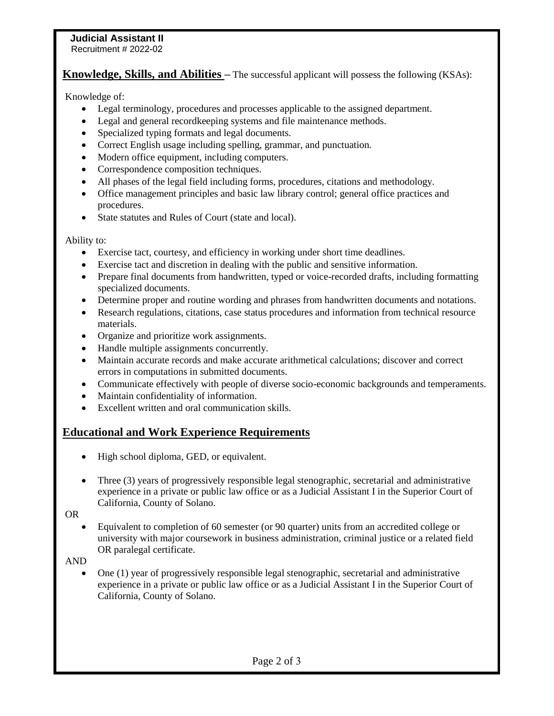## **Judicial Assistant II**

Recruitment # 2022-02

**Knowledge, Skills, and Abilities** – The successful applicant will possess the following (KSAs):

Knowledge of:

- Legal terminology, procedures and processes applicable to the assigned department.
- Legal and general record keeping systems and file maintenance methods.
- Specialized typing formats and legal documents.
- Correct English usage including spelling, grammar, and punctuation.
- Modern office equipment, including computers.
- Correspondence composition techniques.
- All phases of the legal field including forms, procedures, citations and methodology.
- Office management principles and basic law library control; general office practices and procedures.
- State statutes and Rules of Court (state and local).

Ability to:

- Exercise tact, courtesy, and efficiency in working under short time deadlines.
- Exercise tact and discretion in dealing with the public and sensitive information.
- Prepare final documents from handwritten, typed or voice-recorded drafts, including formatting specialized documents.
- Determine proper and routine wording and phrases from handwritten documents and notations.
- Research regulations, citations, case status procedures and information from technical resource materials.
- Organize and prioritize work assignments.
- Handle multiple assignments concurrently.
- Maintain accurate records and make accurate arithmetical calculations; discover and correct errors in computations in submitted documents.
- Communicate effectively with people of diverse socio-economic backgrounds and temperaments.
- Maintain confidentiality of information.
- Excellent written and oral communication skills.

#### **Educational and Work Experience Requirements**

- High school diploma, GED, or equivalent.
- Three (3) years of progressively responsible legal stenographic, secretarial and administrative experience in a private or public law office or as a Judicial Assistant I in the Superior Court of California, County of Solano.

OR

 Equivalent to completion of 60 semester (or 90 quarter) units from an accredited college or university with major coursework in business administration, criminal justice or a related field OR paralegal certificate.

AND

 One (1) year of progressively responsible legal stenographic, secretarial and administrative experience in a private or public law office or as a Judicial Assistant I in the Superior Court of California, County of Solano.